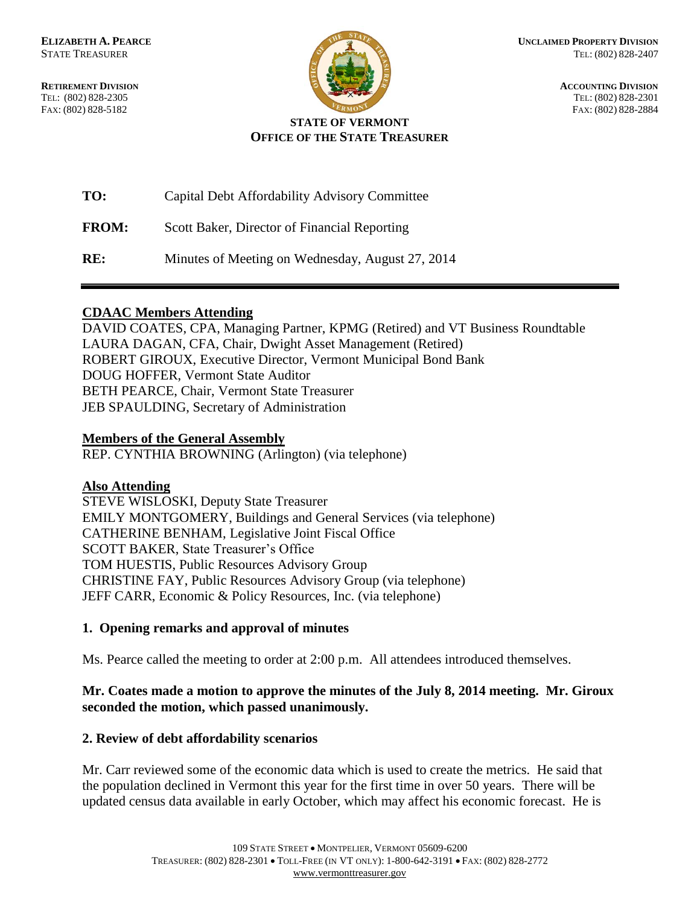TEL: (802) 828-2305 TEL: (802) 828-2301



**RETIREMENT DIVISION**<br> **RETIREMENT DIVISION**<br> **ACCOUNTING DIVISION**<br> **RETIREMENT DIVISION**<br> **RETIREMENT DIVISION** FAX: (802) 828-5182 FAX: (802) 828-2884

#### **STATE OF VERMONT OFFICE OF THE STATE TREASURER**

| TO:          | Capital Debt Affordability Advisory Committee    |
|--------------|--------------------------------------------------|
| <b>FROM:</b> | Scott Baker, Director of Financial Reporting     |
| RE:          | Minutes of Meeting on Wednesday, August 27, 2014 |

## **CDAAC Members Attending**

DAVID COATES, CPA, Managing Partner, KPMG (Retired) and VT Business Roundtable LAURA DAGAN, CFA, Chair, Dwight Asset Management (Retired) ROBERT GIROUX, Executive Director, Vermont Municipal Bond Bank DOUG HOFFER, Vermont State Auditor BETH PEARCE, Chair, Vermont State Treasurer JEB SPAULDING, Secretary of Administration

#### **Members of the General Assembly**

REP. CYNTHIA BROWNING (Arlington) (via telephone)

## **Also Attending**

STEVE WISLOSKI, Deputy State Treasurer EMILY MONTGOMERY, Buildings and General Services (via telephone) CATHERINE BENHAM, Legislative Joint Fiscal Office SCOTT BAKER, State Treasurer's Office TOM HUESTIS, Public Resources Advisory Group CHRISTINE FAY, Public Resources Advisory Group (via telephone) JEFF CARR, Economic & Policy Resources, Inc. (via telephone)

## **1. Opening remarks and approval of minutes**

Ms. Pearce called the meeting to order at 2:00 p.m. All attendees introduced themselves.

# **Mr. Coates made a motion to approve the minutes of the July 8, 2014 meeting. Mr. Giroux seconded the motion, which passed unanimously.**

## **2. Review of debt affordability scenarios**

Mr. Carr reviewed some of the economic data which is used to create the metrics. He said that the population declined in Vermont this year for the first time in over 50 years. There will be updated census data available in early October, which may affect his economic forecast. He is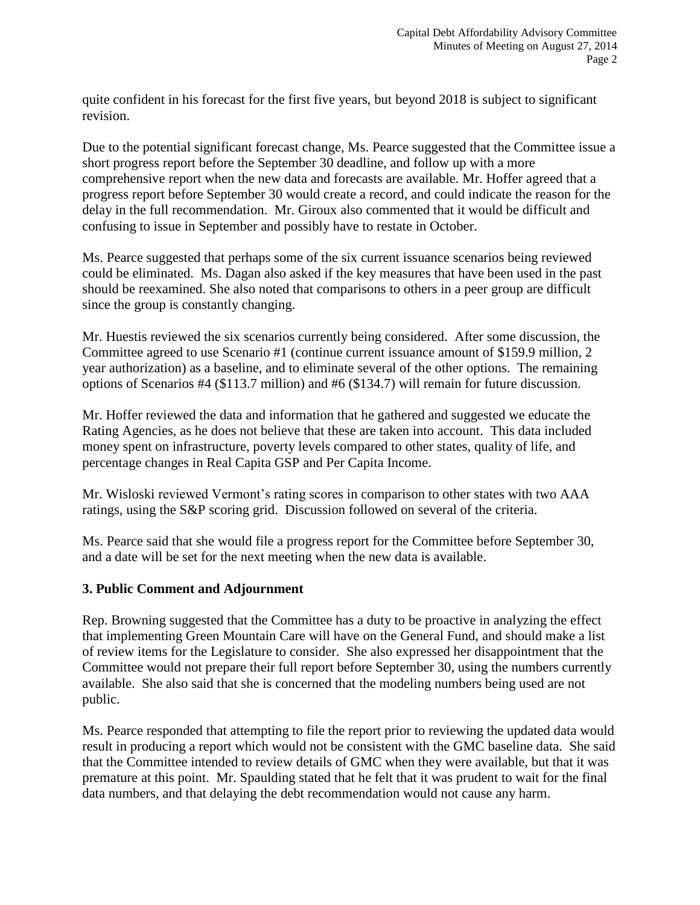quite confident in his forecast for the first five years, but beyond 2018 is subject to significant revision.

Due to the potential significant forecast change, Ms. Pearce suggested that the Committee issue a short progress report before the September 30 deadline, and follow up with a more comprehensive report when the new data and forecasts are available. Mr. Hoffer agreed that a progress report before September 30 would create a record, and could indicate the reason for the delay in the full recommendation. Mr. Giroux also commented that it would be difficult and confusing to issue in September and possibly have to restate in October.

Ms. Pearce suggested that perhaps some of the six current issuance scenarios being reviewed could be eliminated. Ms. Dagan also asked if the key measures that have been used in the past should be reexamined. She also noted that comparisons to others in a peer group are difficult since the group is constantly changing.

Mr. Huestis reviewed the six scenarios currently being considered. After some discussion, the Committee agreed to use Scenario #1 (continue current issuance amount of \$159.9 million, 2 year authorization) as a baseline, and to eliminate several of the other options. The remaining options of Scenarios #4 (\$113.7 million) and #6 (\$134.7) will remain for future discussion.

Mr. Hoffer reviewed the data and information that he gathered and suggested we educate the Rating Agencies, as he does not believe that these are taken into account. This data included money spent on infrastructure, poverty levels compared to other states, quality of life, and percentage changes in Real Capita GSP and Per Capita Income.

Mr. Wisloski reviewed Vermont's rating scores in comparison to other states with two AAA ratings, using the S&P scoring grid. Discussion followed on several of the criteria.

Ms. Pearce said that she would file a progress report for the Committee before September 30, and a date will be set for the next meeting when the new data is available.

## **3. Public Comment and Adjournment**

Rep. Browning suggested that the Committee has a duty to be proactive in analyzing the effect that implementing Green Mountain Care will have on the General Fund, and should make a list of review items for the Legislature to consider. She also expressed her disappointment that the Committee would not prepare their full report before September 30, using the numbers currently available. She also said that she is concerned that the modeling numbers being used are not public.

Ms. Pearce responded that attempting to file the report prior to reviewing the updated data would result in producing a report which would not be consistent with the GMC baseline data. She said that the Committee intended to review details of GMC when they were available, but that it was premature at this point. Mr. Spaulding stated that he felt that it was prudent to wait for the final data numbers, and that delaying the debt recommendation would not cause any harm.